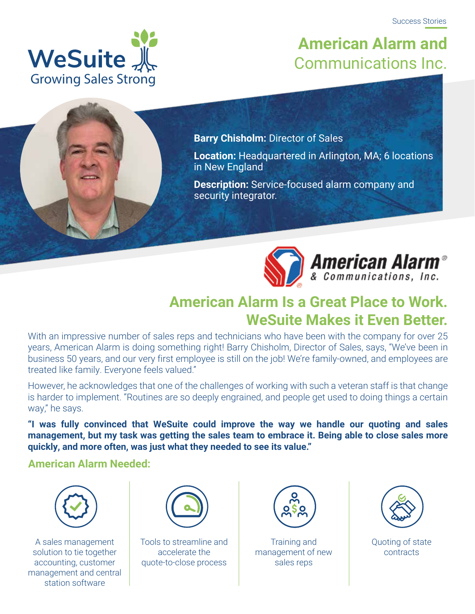

### **American Alarm and** Communications Inc.

**Barry Chisholm:** Director of Sales

**Location:** Headquartered in Arlington, MA; 6 locations in New England

**Description:** Service-focused alarm company and security integrator.



**American Alarm<sup>®</sup>** 

#### **American Alarm Is a Great Place to Work. WeSuite Makes it Even Better.**

With an impressive number of sales reps and technicians who have been with the company for over 25 years, American Alarm is doing something right! Barry Chisholm, Director of Sales, says, "We've been in business 50 years, and our very first employee is still on the job! We're family-owned, and employees are treated like family. Everyone feels valued."

However, he acknowledges that one of the challenges of working with such a veteran staff is that change is harder to implement. "Routines are so deeply engrained, and people get used to doing things a certain way," he says.

**"I was fully convinced that WeSuite could improve the way we handle our quoting and sales management, but my task was getting the sales team to embrace it. Being able to close sales more quickly, and more often, was just what they needed to see its value."**

#### **American Alarm Needed:**



A sales management solution to tie together accounting, customer management and central station software



Tools to streamline and accelerate the quote-to-close process



Training and management of new sales reps



Quoting of state contracts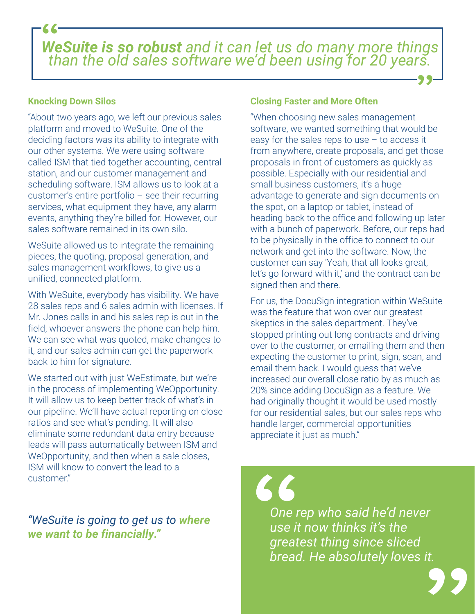*WeSuite is so robust and it can let us do many more things than the old sales software we'd been using for 20 years.*

#### **Knocking Down Silos**

"About two years ago, we left our previous sales platform and moved to WeSuite. One of the deciding factors was its ability to integrate with our other systems. We were using software called ISM that tied together accounting, central station, and our customer management and scheduling software. ISM allows us to look at a customer's entire portfolio – see their recurring services, what equipment they have, any alarm events, anything they're billed for. However, our sales software remained in its own silo.

WeSuite allowed us to integrate the remaining pieces, the quoting, proposal generation, and sales management workflows, to give us a unified, connected platform.

With WeSuite, everybody has visibility. We have 28 sales reps and 6 sales admin with licenses. If Mr. Jones calls in and his sales rep is out in the field, whoever answers the phone can help him. We can see what was quoted, make changes to it, and our sales admin can get the paperwork back to him for signature.

We started out with just WeEstimate, but we're in the process of implementing WeOpportunity. It will allow us to keep better track of what's in our pipeline. We'll have actual reporting on close ratios and see what's pending. It will also eliminate some redundant data entry because leads will pass automatically between ISM and WeOpportunity, and then when a sale closes, ISM will know to convert the lead to a customer."

*"WeSuite is going to get us to where we want to be financially."*

#### **Closing Faster and More Often**

"When choosing new sales management software, we wanted something that would be easy for the sales reps to use – to access it from anywhere, create proposals, and get those proposals in front of customers as quickly as possible. Especially with our residential and small business customers, it's a huge advantage to generate and sign documents on the spot, on a laptop or tablet, instead of heading back to the office and following up later with a bunch of paperwork. Before, our reps had to be physically in the office to connect to our network and get into the software. Now, the customer can say 'Yeah, that all looks great, let's go forward with it,' and the contract can be signed then and there.

For us, the DocuSign integration within WeSuite was the feature that won over our greatest skeptics in the sales department. They've stopped printing out long contracts and driving over to the customer, or emailing them and then expecting the customer to print, sign, scan, and email them back. I would guess that we've increased our overall close ratio by as much as 20% since adding DocuSign as a feature. We had originally thought it would be used mostly for our residential sales, but our sales reps who handle larger, commercial opportunities appreciate it just as much."

*One rep who said he'd never use it now thinks it's the greatest thing since sliced bread. He absolutely loves it.*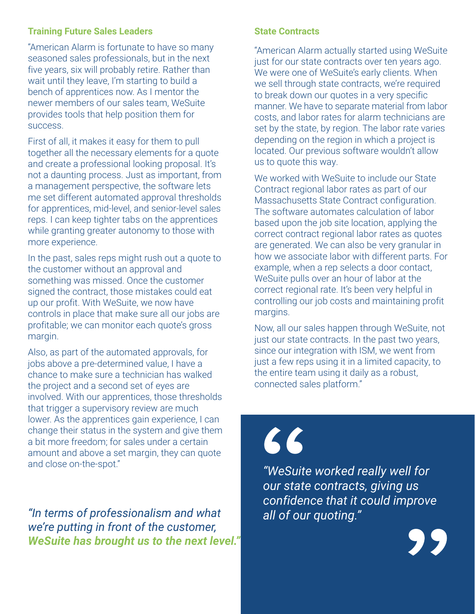#### **Training Future Sales Leaders**

"American Alarm is fortunate to have so many seasoned sales professionals, but in the next five years, six will probably retire. Rather than wait until they leave, I'm starting to build a bench of apprentices now. As I mentor the newer members of our sales team, WeSuite provides tools that help position them for success.

First of all, it makes it easy for them to pull together all the necessary elements for a quote and create a professional looking proposal. It's not a daunting process. Just as important, from a management perspective, the software lets me set different automated approval thresholds for apprentices, mid-level, and senior-level sales reps. I can keep tighter tabs on the apprentices while granting greater autonomy to those with more experience.

In the past, sales reps might rush out a quote to the customer without an approval and something was missed. Once the customer signed the contract, those mistakes could eat up our profit. With WeSuite, we now have controls in place that make sure all our jobs are profitable; we can monitor each quote's gross margin.

Also, as part of the automated approvals, for jobs above a pre-determined value, I have a chance to make sure a technician has walked the project and a second set of eyes are involved. With our apprentices, those thresholds that trigger a supervisory review are much lower. As the apprentices gain experience, I can change their status in the system and give them a bit more freedom; for sales under a certain amount and above a set margin, they can quote and close on-the-spot."

*"In terms of professionalism and what we're putting in front of the customer, WeSuite has brought us to the next level."*

#### **State Contracts**

"American Alarm actually started using WeSuite just for our state contracts over ten years ago. We were one of WeSuite's early clients. When we sell through state contracts, we're required to break down our quotes in a very specific manner. We have to separate material from labor costs, and labor rates for alarm technicians are set by the state, by region. The labor rate varies depending on the region in which a project is located. Our previous software wouldn't allow us to quote this way.

 $\overline{a}$ We worked with WeSuite to include our State Contract regional labor rates as part of our Massachusetts State Contract configuration. The software automates calculation of labor based upon the job site location, applying the correct contract regional labor rates as quotes are generated. We can also be very granular in how we associate labor with different parts. For example, when a rep selects a door contact, WeSuite pulls over an hour of labor at the correct regional rate. It's been very helpful in controlling our job costs and maintaining profit margins.

Now, all our sales happen through WeSuite, not just our state contracts. In the past two years, since our integration with ISM, we went from just a few reps using it in a limited capacity, to the entire team using it daily as a robust, connected sales platform."

## 66

*"WeSuite worked really well for our state contracts, giving us confidence that it could improve all of our quoting."*